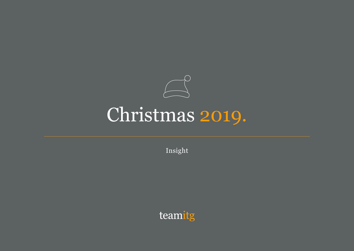

Insight

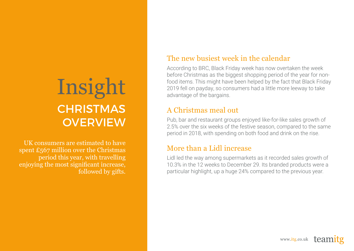# Insight **CHRISTMAS OVERVIEW**

UK consumers are estimated to have spent £567 million over the Christmas period this year, with travelling enjoying the most significant increase, followed by gifts.

### The new busiest week in the calendar

According to BRC, Black Friday week has now overtaken the week before Christmas as the biggest shopping period of the year for nonfood items. This might have been helped by the fact that Black Friday 2019 fell on payday, so consumers had a little more leeway to take advantage of the bargains.

## A Christmas meal out

Pub, bar and restaurant groups enjoyed like-for-like sales growth of 2.5% over the six weeks of the festive season, compared to the same period in 2018, with spending on both food and drink on the rise.

### More than a Lidl increase

Lidl led the way among supermarkets as it recorded sales growth of 10.3% in the 12 weeks to December 29. Its branded products were a particular highlight, up a huge 24% compared to the previous year.

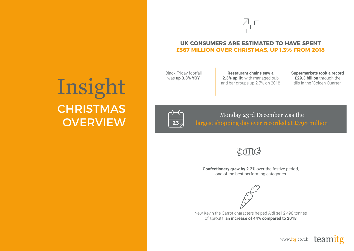

#### **UK CONSUMERS ARE ESTIMATED TO HAVE SPENT £567 MILLION OVER CHRISTMAS, UP 1.3% FROM 2018**

Black Friday footfall was **up 3.3% YOY**

**Restaurant chains saw a 2.3% uplift**, with managed pub and bar groups up 2.7% on 2018 **Supermarkets took a record £29.3 billion** through the tills in the 'Golden Quarter'

# Insight **CHRISTMAS OVERVIEW**



Monday 23rd December was the largest shopping day ever recorded at £798 million



**Confectionery grew by 2.2%** over the festive period, one of the best-performing categories



New Kevin the Carrot characters helped Aldi sell 2,498 tonnes of sprouts, **an increase of 44% compared to 2018**